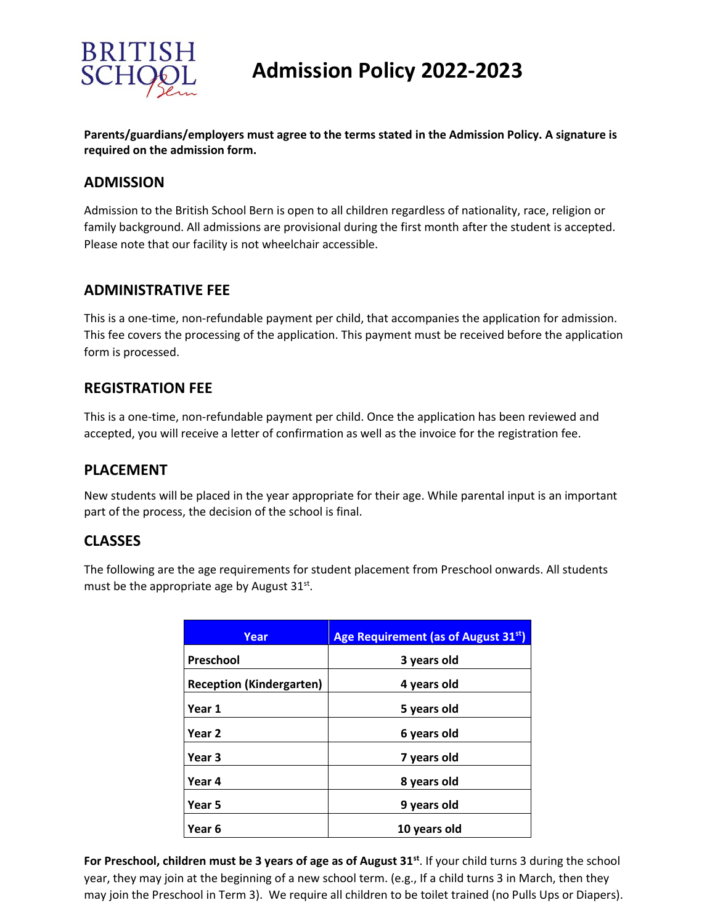

**Parents/guardians/employers must agree to the terms stated in the Admission Policy. A signature is required on the admission form.**

#### **ADMISSION**

Admission to the British School Bern is open to all children regardless of nationality, race, religion or family background. All admissions are provisional during the first month after the student is accepted. Please note that our facility is not wheelchair accessible.

#### **ADMINISTRATIVE FEE**

This is a one-time, non-refundable payment per child, that accompanies the application for admission. This fee covers the processing of the application. This payment must be received before the application form is processed.

#### **REGISTRATION FEE**

This is a one-time, non-refundable payment per child. Once the application has been reviewed and accepted, you will receive a letter of confirmation as well as the invoice for the registration fee.

### **PLACEMENT**

New students will be placed in the year appropriate for their age. While parental input is an important part of the process, the decision of the school is final.

## **CLASSES**

The following are the age requirements for student placement from Preschool onwards. All students must be the appropriate age by August  $31^{st}$ .

| Year                            | Age Requirement (as of August 31 <sup>st</sup> ) |
|---------------------------------|--------------------------------------------------|
| Preschool                       | 3 years old                                      |
| <b>Reception (Kindergarten)</b> | 4 years old                                      |
| Year 1                          | 5 years old                                      |
| Year <sub>2</sub>               | 6 years old                                      |
| Year 3                          | 7 years old                                      |
| Year 4                          | 8 years old                                      |
| Year 5                          | 9 years old                                      |
| Year 6                          | 10 years old                                     |

**For Preschool, children must be 3 years of age as of August 31st**. If your child turns 3 during the school year, they may join at the beginning of a new school term. (e.g., If a child turns 3 in March, then they may join the Preschool in Term 3). We require all children to be toilet trained (no Pulls Ups or Diapers).